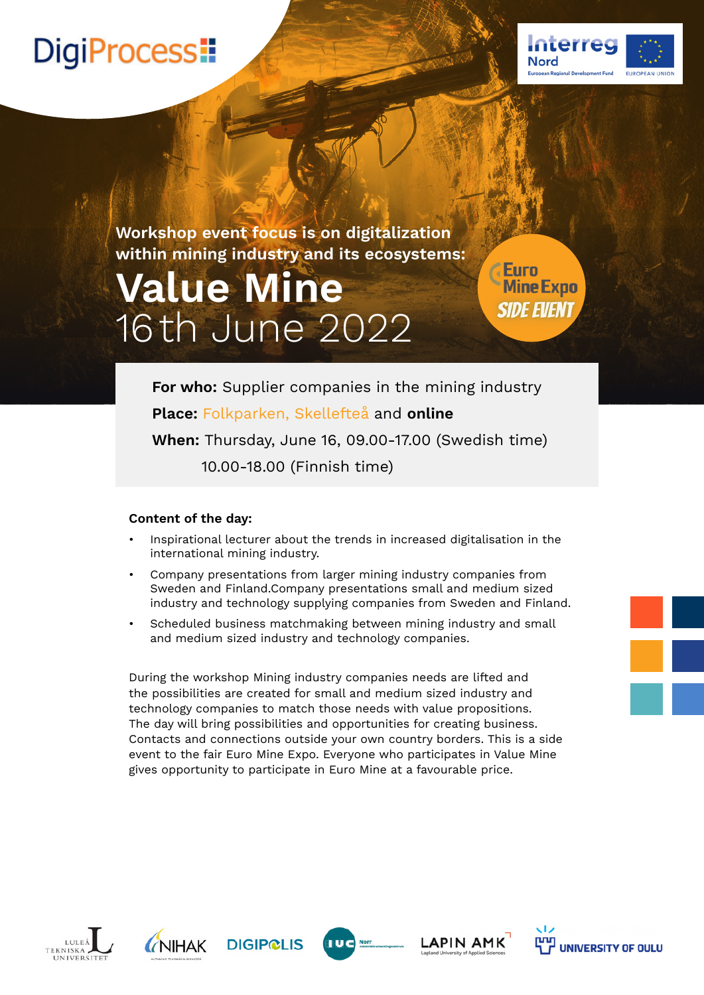## DigiProcess!



**Workshop event focus is on digitalization within mining industry and its ecosystems:**

# **Value Mine** 16 th June 2022

**Euro** Mine Expo **SIDE EVENT** 

**For who:** Supplier companies in the mining industry **Place:** [Folkparken, Skellefteå](https://goo.gl/maps/4cusW4g5btuQf9nu9) and **online**

**When:** Thursday, June 16, 09.00-17.00 (Swedish time) 10.00-18.00 (Finnish time)

### **Content of the day:**

- Inspirational lecturer about the trends in increased digitalisation in the international mining industry.
- Company presentations from larger mining industry companies from Sweden and Finland.Company presentations small and medium sized industry and technology supplying companies from Sweden and Finland.
- Scheduled business matchmaking between mining industry and small and medium sized industry and technology companies.

During the workshop Mining industry companies needs are lifted and the possibilities are created for small and medium sized industry and technology companies to match those needs with value propositions. The day will bring possibilities and opportunities for creating business. Contacts and connections outside your own country borders. This is a side event to the fair Euro Mine Expo. Everyone who participates in Value Mine gives opportunity to participate in Euro Mine at a favourable price.





**DIGIP@LIS** 



**LAPIN AMK**